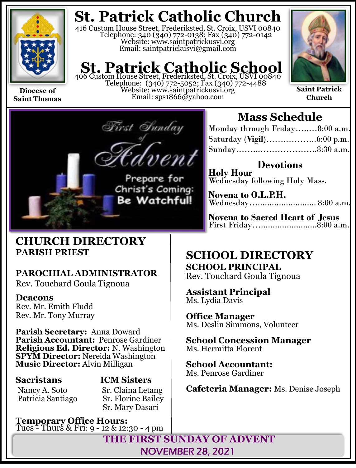

**Saint Thomas**

# **St. Patrick Catholic Church**

416 Custom House Street, Frederiksted, St. Croix, USVI 00840 Telephone: 340 (340) 772-0138; Fax (340) 772-0142 Website: www.saintpatrickusvi.org Email: saintpatrickusvi@gmail.com

# **St. Patrick Catholic School**<br>406 Custom House Street, Frederiksted, St. Croix, USVI 00840

Telephone: (340) 772-5052; Fax (340) 772-4488 Website: www.saintpatrickusvi.org Email: sps1866@yahoo.com



**Saint Patrick Church**



# **Mass Schedule**

| Monday through Friday8:00 a.m. |  |
|--------------------------------|--|
|                                |  |
|                                |  |

**Devotions Holy Hour**  Wednesday following Holy Mass.

**Novena to O.L.P.H.** Wednesday…......................... 8:00 a.m.

**Novena to Sacred Heart of Jesus** First Friday…........................8:00 a.m.

## **CHURCH DIRECTORY PARISH PRIEST**

## **PAROCHIAL ADMINISTRATOR**

Rev. Touchard Goula Tignoua

## **Deacons**

Rev. Mr. Emith Fludd Rev. Mr. Tony Murray

**Parish Secretary:** Anna Doward **Parish Accountant:** Penrose Gardiner **Religious Ed. Director:** N. Washington **SPYM Director:** Nereida Washington **Music Director:** Alvin Milligan

Patricia Santiago

# **Sacristans ICM Sisters**

Nancy A. Soto Sr. Claina Letang<br>Patricia Santiago Sr. Florine Bailey Sr. Mary Dasari

**Temporary Office Hours:**  Tues - Thurs & Fri: 9 - 12 & 12:30 - 4 pm

# **SCHOOL DIRECTORY**

**SCHOOL PRINCIPAL** Rev. Touchard Goula Tignoua

**Assistant Principal** Ms. Lydia Davis

**Office Manager** Ms. Deslin Simmons, Volunteer

**School Concession Manager** Ms. Hermitta Florent

**School Accountant:**  Ms. Penrose Gardiner

**Cafeteria Manager:** Ms. Denise Joseph

**THE FIRST SUNDAY OF ADVENT** NOVEMBER 28, 2021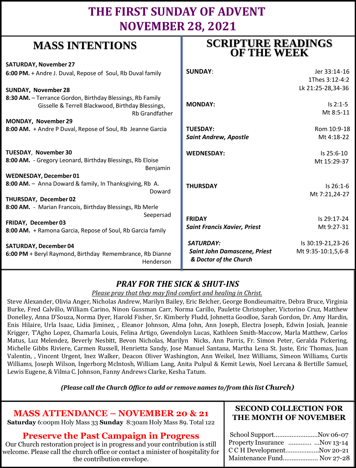# **THE FIRST SUNDAY OF ADVENT NOVEMBER 28, 2021**

# **MASS INTENTIONS**

| where higher and the                                                  | <b>OF THE WEEK</b>                  |                    |
|-----------------------------------------------------------------------|-------------------------------------|--------------------|
| <b>SATURDAY, November 27</b>                                          |                                     |                    |
| 6:00 PM. + Andre J. Duval, Repose of Soul, Rb Duval family            | <b>SUNDAY:</b>                      | Jer 33:14-16       |
|                                                                       |                                     | 1Thes 3:12-4:2     |
| <b>SUNDAY, November 28</b>                                            |                                     | Lk 21:25-28,34-36  |
| 8:30 AM. - Terrance Gordon, Birthday Blessings, Rb Family             |                                     |                    |
| Gisselle & Terrell Blackwood, Birthday Blessings,                     | <b>MONDAY:</b>                      | $Is 2:1-5$         |
| <b>Rb Grandfather</b>                                                 |                                     | Mt 8:5-11          |
| MONDAY, November 29                                                   |                                     |                    |
| 8:00 AM. + Andre P Duval, Repose of Soul, Rb Jeanne Garcia            | <b>TUESDAY:</b>                     | Rom 10:9-18        |
|                                                                       | <b>Saint Andrew, Apostle</b>        | Mt 4:18-22         |
| TUESDAY, November 30                                                  | <b>WEDNESDAY:</b>                   | Is 25:6-10         |
| 8:00 AM. - Gregory Leonard, Birthday Blessings, Rb Eloise<br>Benjamin |                                     | Mt 15:29-37        |
| <b>WEDNESDAY, December 01</b>                                         |                                     |                    |
| 8:00 AM. - Anna Doward & family, In Thanksgiving, Rb A.               | <b>THURSDAY</b>                     | Is 26:1-6          |
| Doward                                                                |                                     | Mt 7:21,24-27      |
| THURSDAY, December 02                                                 |                                     |                    |
| 8:00 AM. - Marian Francois, Birthday Blessings, Rb Merle              |                                     |                    |
| Seepersad                                                             | <b>FRIDAY</b>                       | Is 29:17-24        |
| FRIDAY, December 03                                                   | <b>Saint Francis Xavier, Priest</b> | Mt 9:27-31         |
| 8:00 AM. + Ramona Garcia, Repose of Soul, Rb Garcia family            |                                     |                    |
| <b>SATURDAY, December 04</b>                                          | SATURDAY:                           | Is 30:19-21,23-26  |
| 6:00 PM + Beryl Raymond, Birthday Remembrance, Rb Dianne              | <b>Saint John Damascene, Priest</b> | Mt 9:35-10:1,5,6-8 |
| Henderson                                                             | & Doctor of the Church              |                    |

## *PRAY FOR THE SICK & SHUT-INS*

### *Please pray that they may find comfort and healing in Christ.*

Steve Alexander, Olivia Anger, Nicholas Andrew, Marilyn Bailey, Eric Belcher, George Bondieumaitre, Debra Bruce, Virginia Burke, Fred Calvillo, William Carino, Ninon Gussman Carr, Norma Carillo, Paulette Christopher, Victorino Cruz, Matthew Donelley, Anna D'Souza, Norma Dyer, Harold Fisher, Sr. Kimberly Fludd, Johnetta Goodloe, Sarah Gordon, Dr. Amy Hardin, Enis Hilaire, Urla Isaac, Lidia Jiminez, , Eleanor Johnson, Alma John, Ann Joseph, Electra Joseph, Edwin Josiah, Jeannie Krigger, T'Agho Lopez, Chamarla Louis, Felina Artigo, Gwendolyn Lucas, Kathleen Smith-Maccow, Marla Matthew, Carlos Matus, Luz Melendez, Beverly Nesbitt, Bevon Nicholas, Marilyn Nicks, Ann Parris, Fr. Simon Peter, Geralda Pickering, Michelle Gibbs Riviere, Carmen Russell, Henrietta Sandy, Jose Manuel Santana, Martha Lena St. Juste, Eric Thomas, Juan Valentin, , Vincent Urgent, Inez Walker, Deacon Oliver Washington, Ann Weikel, Inez Williams, Simeon Williams, Curtis Williams, Joseph Wilson, Ingerborg McIntosh, William Lang, Anita Pulpul & Kemit Lewis, Noel Lercana & Bertille Samuel, Lewis Eugene, & Vilma C. Johnson, Fanny Andrews Clarke, Kesha Tatum.

*(Please call the Church Office to add or remove names to/from this list Church)*

## **MASS ATTENDANCE – NOVEMBER 20 & 21**

**Saturday** 6:00pm Holy Mass 33 **Sunday** 8:30am Holy Mass 89. Total 122

## **Preserve the Past Campaign in Progress**

Our Church restoration project is in progress and your contribution is still welcome. Please call the church office or contact a minister of hospitality for the contribution envelope.

### **SECOND COLLECTION FOR THE MONTH OF NOVEMBER**

**SCRIPTURE READINGS** 

| School SupportNov 06-07      |
|------------------------------|
| Property Insurance Nov 13-14 |
| C C H DevelopmentNov 20-21   |
| Maintenance Fund Nov 27-28   |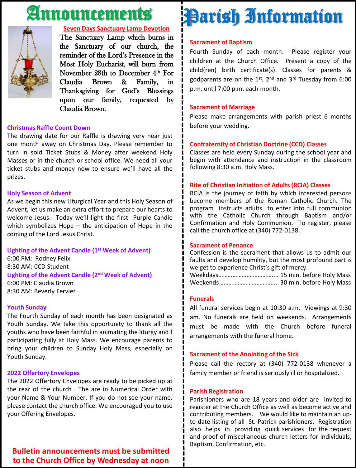# Announcements



### **Seven Days Sanctuary Lamp Devotion**

The Sanctuary Lamp which burns in the Sanctuary of our church, the reminder of the Lord's Presence in the Most Holy Eucharist, will burn from November 28th to December 4<sup>th</sup> For Claudia Brown & Family, in Thanksgiving for God's Blessings upon our family, requested by Claudia Brown.

### **Christmas Raffle Count Down**

The drawing date for our Raffle is drawing very near just one month away on Christmas Day. Please remember to turn in sold Ticket Stubs & Money after weekend Holy Masses or in the church or school office. We need all your ticket stubs and money now to ensure we'll have all the prizes.

### **Holy Season of Advent**

As we begin this new Liturgical Year and this Holy Season of Advent, let us make an extra effort to prepare our hearts to welcome Jesus. Today we'll light the first Purple Candle which symbolizes Hope – the anticipation of Hope in the coming of the Lord Jesus Christ.

### **Lighting of the Advent Candle (1 st Week of Advent)**

6:00 PM: Rodney Felix 8:30 AM: CCD Student **Lighting of the Advent Candle (2 nd Week of Advent)** 6:00 PM: Claudia Brown 8:30 AM: Beverly Fervier

#### **Youth Sunday**

The Fourth Sunday of each month has been designated as Youth Sunday. We take this opportunity to thank all the youths who have been faithful in animating the liturgy and f participating fully at Holy Mass. We encourage parents to bring your children to Sunday Holy Mass, especially on Youth Sunday.

#### **2022 Offertory Envelopes**

The 2022 Offertory Envelopes are ready to be picked up at the rear of the church . The are in Numerical Order with your Name & Your Number. If you do not see your name, please contact the church office. We encouraged you to use your Offering Envelopes.

### **Bulletin announcements must be submitted to the Church Office by Wednesday at noon**

# Parish Information

### **Sacrament of Baptism**

Fourth Sunday of each month. Please register your children at the Church Office. Present a copy of the child(ren) birth certificate(s). Classes for parents & godparents are on the 1st, 2<sup>nd</sup> and 3<sup>rd</sup> Tuesday from 6:00 p.m. until 7:00 p.m. each month.

### **Sacrament of Marriage**

Please make arrangements with parish priest 6 months before your wedding.

### **Confraternity of Christian Doctrine (CCD) Classes**

Classes are held every Sunday during the school year and begin with attendance and instruction in the classroom following 8:30 a.m. Holy Mass.

### **Rite of Christian Initiation of Adults (RCIA) Classes**

RCIA is the journey of faith by which interested persons become members of the Roman Catholic Church. The program instructs adults to enter into full communion with the Catholic Church through Baptism and/or Confirmation and Holy Communion. To register, please call the church office at (340) 772-0138.

### **Sacrament of Penance**

Confession is the sacrament that allows us to admit our faults and develop humility, but the most profound part is we get to experience Christ's gift of mercy.

Weekdays……………….…………….... 15 min. before Holy Mass Weekends………………………………. 30 min. before Holy Mass

### **Funerals**

All funeral services begin at 10:30 a.m. Viewings at 9:30 am. No funerals are held on weekends. Arrangements must be made with the Church before funeral arrangements with the funeral home.

#### **Sacrament of the Anointing of the Sick**

Please call the rectory at (340) 772-0138 whenever a family member or friend is seriously ill or hospitalized.

#### **Parish Registration**

Parishioners who are 18 years and older are invited to register at the Church Office as well as become active and contributing members. We would like to maintain an upto-date listing of all St. Patrick parishioners. Registration also helps in providing quick services for the request and proof of miscellaneous church letters for individuals, Baptism, Confirmation, etc.